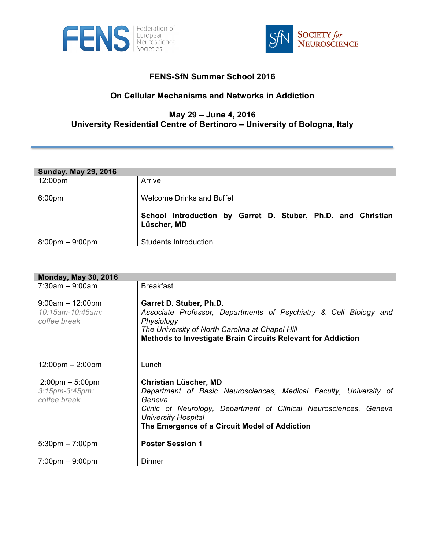



## **FENS-SfN Summer School 2016**

## **On Cellular Mechanisms and Networks in Addiction**

## **May 29 – June 4, 2016 University Residential Centre of Bertinoro – University of Bologna, Italy**

| <b>Sunday, May 29, 2016</b>       |                                                                             |
|-----------------------------------|-----------------------------------------------------------------------------|
| $12:00 \text{pm}$                 | Arrive                                                                      |
| 6:00 <sub>pm</sub>                | <b>Welcome Drinks and Buffet</b>                                            |
|                                   | School Introduction by Garret D. Stuber, Ph.D. and Christian<br>Lüscher, MD |
| $8:00 \text{pm} - 9:00 \text{pm}$ | <b>Students Introduction</b>                                                |

| <b>Monday, May 30, 2016</b>                                                |                                                                                                                                                                                                                                                                 |  |
|----------------------------------------------------------------------------|-----------------------------------------------------------------------------------------------------------------------------------------------------------------------------------------------------------------------------------------------------------------|--|
| $7:30am - 9:00am$                                                          | <b>Breakfast</b>                                                                                                                                                                                                                                                |  |
| $9:00am - 12:00pm$<br>10:15am-10:45am:<br>coffee break                     | Garret D. Stuber, Ph.D.<br>Associate Professor, Departments of Psychiatry & Cell Biology and<br>Physiology<br>The University of North Carolina at Chapel Hill<br><b>Methods to Investigate Brain Circuits Relevant for Addiction</b>                            |  |
| $12:00 \text{pm} - 2:00 \text{pm}$                                         | Lunch                                                                                                                                                                                                                                                           |  |
| $2:00 \text{pm} - 5:00 \text{pm}$<br>$3:15$ pm- $3:45$ pm:<br>coffee break | <b>Christian Lüscher, MD</b><br>Department of Basic Neurosciences, Medical Faculty, University of<br>Geneva<br>Clinic of Neurology, Department of Clinical Neurosciences, Geneva<br><b>University Hospital</b><br>The Emergence of a Circuit Model of Addiction |  |
| $5:30 \text{pm} - 7:00 \text{pm}$                                          | <b>Poster Session 1</b>                                                                                                                                                                                                                                         |  |
| $7:00 \text{pm} - 9:00 \text{pm}$                                          | Dinner                                                                                                                                                                                                                                                          |  |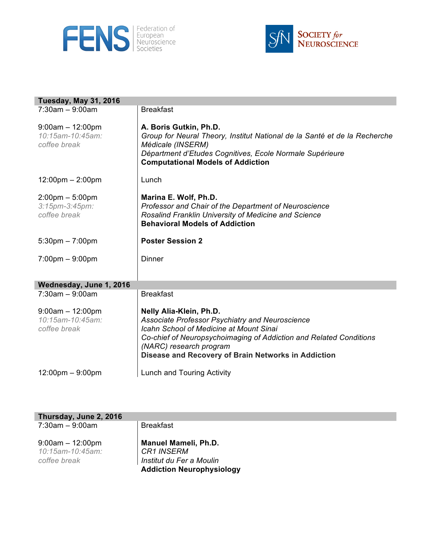



| <b>Tuesday, May 31, 2016</b>                                               |                                                                                                                                                                                                                                  |
|----------------------------------------------------------------------------|----------------------------------------------------------------------------------------------------------------------------------------------------------------------------------------------------------------------------------|
| $7:30am - 9:00am$                                                          | <b>Breakfast</b>                                                                                                                                                                                                                 |
| $9:00am - 12:00pm$<br>10:15am-10:45am:<br>coffee break                     | A. Boris Gutkin, Ph.D.<br>Group for Neural Theory, Institut National de la Santé et de la Recherche<br>Médicale (INSERM)<br>Départment d'Etudes Cognitives, Ecole Normale Supérieure<br><b>Computational Models of Addiction</b> |
| $12:00 \text{pm} - 2:00 \text{pm}$                                         | Lunch                                                                                                                                                                                                                            |
| $2:00 \text{pm} - 5:00 \text{pm}$<br>$3:15$ pm- $3:45$ pm:<br>coffee break | Marina E. Wolf, Ph.D.<br>Professor and Chair of the Department of Neuroscience<br>Rosalind Franklin University of Medicine and Science<br><b>Behavioral Models of Addiction</b>                                                  |
| $5:30 \text{pm} - 7:00 \text{pm}$                                          | <b>Poster Session 2</b>                                                                                                                                                                                                          |
| $7:00 \text{pm} - 9:00 \text{pm}$                                          | Dinner                                                                                                                                                                                                                           |
| Wednesday, June 1, 2016                                                    |                                                                                                                                                                                                                                  |
| $7:30am - 9:00am$                                                          | <b>Breakfast</b>                                                                                                                                                                                                                 |
| $9:00am - 12:00pm$<br>10:15am-10:45am:                                     | Nelly Alia-Klein, Ph.D.<br>Associate Professor Psychiatry and Neuroscience                                                                                                                                                       |
| coffee break                                                               | <b>Icahn School of Medicine at Mount Sinai</b><br>Co-chief of Neuropsychoimaging of Addiction and Related Conditions<br>(NARC) research program<br>Disease and Recovery of Brain Networks in Addiction                           |

| Thursday, June 2, 2016 |                                  |
|------------------------|----------------------------------|
| $7:30$ am $-9:00$ am   | <b>Breakfast</b>                 |
| $9:00am - 12:00pm$     | <b>Manuel Mameli, Ph.D.</b>      |
| 10:15am-10:45am:       | CR1 INSERM                       |
| coffee break           | Institut du Fer a Moulin         |
|                        | <b>Addiction Neurophysiology</b> |